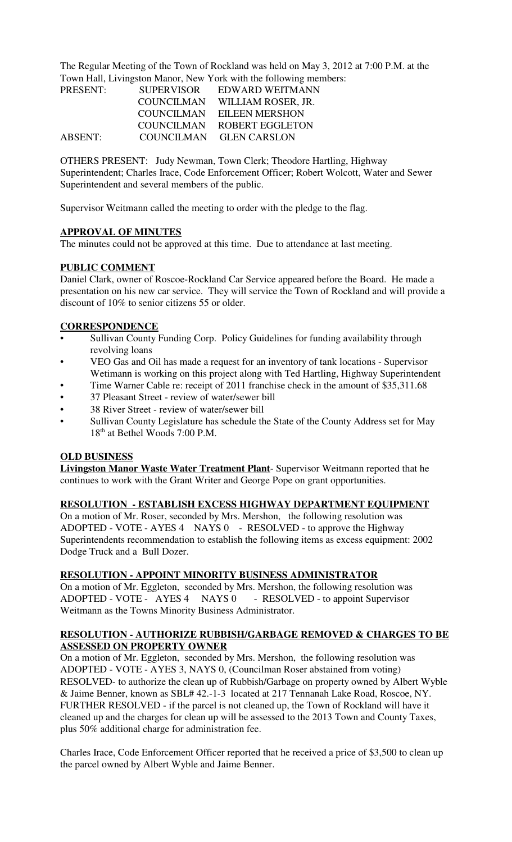The Regular Meeting of the Town of Rockland was held on May 3, 2012 at 7:00 P.M. at the Town Hall, Livingston Manor, New York with the following members:

| PRESENT:       | <b>SUPERVISOR</b> | EDWARD WEITMANN         |
|----------------|-------------------|-------------------------|
|                | <b>COUNCILMAN</b> | WILLIAM ROSER, JR.      |
|                | COUNCILMAN        | <b>EILEEN MERSHON</b>   |
|                | COUNCILMAN        | <b>ROBERT EGGLETON</b>  |
| <b>ABSENT:</b> |                   | COUNCILMAN GLEN CARSLON |

OTHERS PRESENT: Judy Newman, Town Clerk; Theodore Hartling, Highway Superintendent; Charles Irace, Code Enforcement Officer; Robert Wolcott, Water and Sewer Superintendent and several members of the public.

Supervisor Weitmann called the meeting to order with the pledge to the flag.

#### **APPROVAL OF MINUTES**

The minutes could not be approved at this time. Due to attendance at last meeting.

#### **PUBLIC COMMENT**

Daniel Clark, owner of Roscoe-Rockland Car Service appeared before the Board. He made a presentation on his new car service. They will service the Town of Rockland and will provide a discount of 10% to senior citizens 55 or older.

## **CORRESPONDENCE**

- Sullivan County Funding Corp. Policy Guidelines for funding availability through revolving loans
- VEO Gas and Oil has made a request for an inventory of tank locations Supervisor Wetimann is working on this project along with Ted Hartling, Highway Superintendent
- Time Warner Cable re: receipt of 2011 franchise check in the amount of \$35,311.68
- 37 Pleasant Street review of water/sewer bill
- 38 River Street review of water/sewer bill
- Sullivan County Legislature has schedule the State of the County Address set for May 18<sup>th</sup> at Bethel Woods 7:00 P.M.

#### **OLD BUSINESS**

**Livingston Manor Waste Water Treatment Plant**- Supervisor Weitmann reported that he continues to work with the Grant Writer and George Pope on grant opportunities.

#### **RESOLUTION - ESTABLISH EXCESS HIGHWAY DEPARTMENT EQUIPMENT**

On a motion of Mr. Roser, seconded by Mrs. Mershon, the following resolution was ADOPTED - VOTE - AYES 4 NAYS 0 - RESOLVED - to approve the Highway Superintendents recommendation to establish the following items as excess equipment: 2002 Dodge Truck and a Bull Dozer.

#### **RESOLUTION - APPOINT MINORITY BUSINESS ADMINISTRATOR**

On a motion of Mr. Eggleton, seconded by Mrs. Mershon, the following resolution was ADOPTED - VOTE - AYES 4 NAYS 0 - RESOLVED - to appoint Supervisor Weitmann as the Towns Minority Business Administrator.

## **RESOLUTION - AUTHORIZE RUBBISH/GARBAGE REMOVED & CHARGES TO BE ASSESSED ON PROPERTY OWNER**

On a motion of Mr. Eggleton, seconded by Mrs. Mershon, the following resolution was ADOPTED - VOTE - AYES 3, NAYS 0, (Councilman Roser abstained from voting) RESOLVED- to authorize the clean up of Rubbish/Garbage on property owned by Albert Wyble & Jaime Benner, known as SBL# 42.-1-3 located at 217 Tennanah Lake Road, Roscoe, NY. FURTHER RESOLVED - if the parcel is not cleaned up, the Town of Rockland will have it cleaned up and the charges for clean up will be assessed to the 2013 Town and County Taxes, plus 50% additional charge for administration fee.

Charles Irace, Code Enforcement Officer reported that he received a price of \$3,500 to clean up the parcel owned by Albert Wyble and Jaime Benner.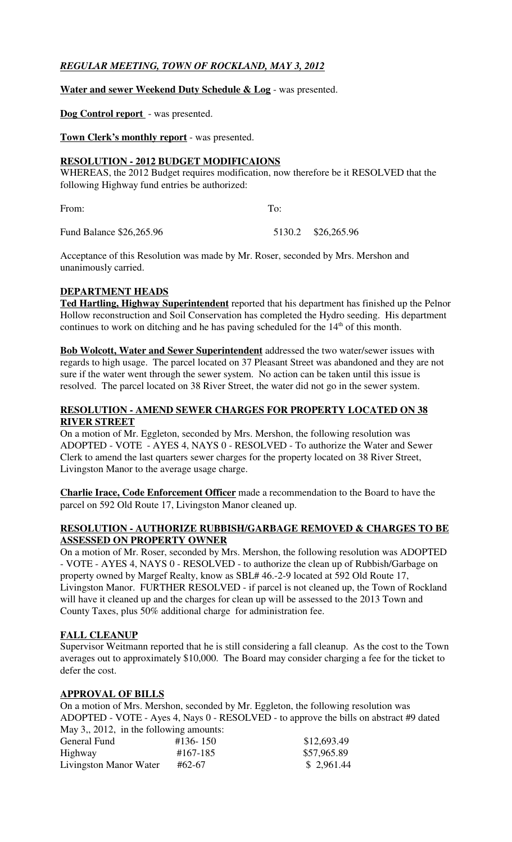# *REGULAR MEETING, TOWN OF ROCKLAND, MAY 3, 2012*

## **Water and sewer Weekend Duty Schedule & Log** - was presented.

## **Dog Control report** - was presented.

**Town Clerk's monthly report** - was presented.

#### **RESOLUTION - 2012 BUDGET MODIFICAIONS**

WHEREAS, the 2012 Budget requires modification, now therefore be it RESOLVED that the following Highway fund entries be authorized:

From: To:

Fund Balance \$26,265.96 5130.2 \$26,265.96

Acceptance of this Resolution was made by Mr. Roser, seconded by Mrs. Mershon and unanimously carried.

## **DEPARTMENT HEADS**

**Ted Hartling, Highway Superintendent** reported that his department has finished up the Pelnor Hollow reconstruction and Soil Conservation has completed the Hydro seeding. His department continues to work on ditching and he has paving scheduled for the  $14<sup>th</sup>$  of this month.

**Bob Wolcott, Water and Sewer Superintendent** addressed the two water/sewer issues with regards to high usage. The parcel located on 37 Pleasant Street was abandoned and they are not sure if the water went through the sewer system. No action can be taken until this issue is resolved. The parcel located on 38 River Street, the water did not go in the sewer system.

## **RESOLUTION - AMEND SEWER CHARGES FOR PROPERTY LOCATED ON 38 RIVER STREET**

On a motion of Mr. Eggleton, seconded by Mrs. Mershon, the following resolution was ADOPTED - VOTE - AYES 4, NAYS 0 - RESOLVED - To authorize the Water and Sewer Clerk to amend the last quarters sewer charges for the property located on 38 River Street, Livingston Manor to the average usage charge.

**Charlie Irace, Code Enforcement Officer** made a recommendation to the Board to have the parcel on 592 Old Route 17, Livingston Manor cleaned up.

#### **RESOLUTION - AUTHORIZE RUBBISH/GARBAGE REMOVED & CHARGES TO BE ASSESSED ON PROPERTY OWNER**

On a motion of Mr. Roser, seconded by Mrs. Mershon, the following resolution was ADOPTED - VOTE - AYES 4, NAYS 0 - RESOLVED - to authorize the clean up of Rubbish/Garbage on property owned by Margef Realty, know as SBL# 46.-2-9 located at 592 Old Route 17, Livingston Manor. FURTHER RESOLVED - if parcel is not cleaned up, the Town of Rockland will have it cleaned up and the charges for clean up will be assessed to the 2013 Town and County Taxes, plus 50% additional charge for administration fee.

#### **FALL CLEANUP**

Supervisor Weitmann reported that he is still considering a fall cleanup. As the cost to the Town averages out to approximately \$10,000. The Board may consider charging a fee for the ticket to defer the cost.

#### **APPROVAL OF BILLS**

On a motion of Mrs. Mershon, seconded by Mr. Eggleton, the following resolution was ADOPTED - VOTE - Ayes 4, Nays 0 - RESOLVED - to approve the bills on abstract #9 dated May 3, 2012, in the following amounts:

| General Fund           | #136-150 | \$12,693.49 |
|------------------------|----------|-------------|
| Highway                | #167-185 | \$57,965.89 |
| Livingston Manor Water | #62-67   | \$2,961.44  |